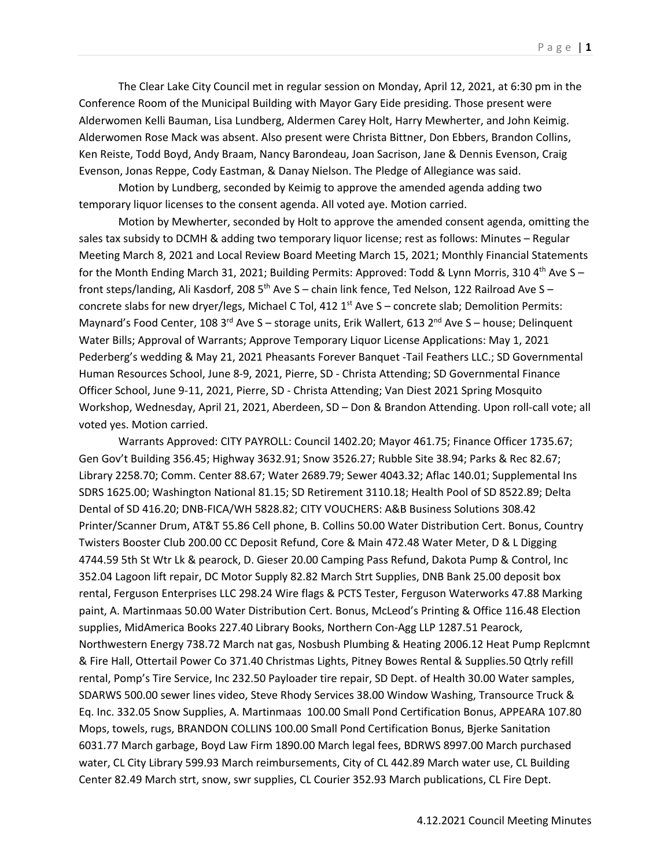The Clear Lake City Council met in regular session on Monday, April 12, 2021, at 6:30 pm in the Conference Room of the Municipal Building with Mayor Gary Eide presiding. Those present were Alderwomen Kelli Bauman, Lisa Lundberg, Aldermen Carey Holt, Harry Mewherter, and John Keimig. Alderwomen Rose Mack was absent. Also present were Christa Bittner, Don Ebbers, Brandon Collins, Ken Reiste, Todd Boyd, Andy Braam, Nancy Barondeau, Joan Sacrison, Jane & Dennis Evenson, Craig Evenson, Jonas Reppe, Cody Eastman, & Danay Nielson. The Pledge of Allegiance was said.

Motion by Lundberg, seconded by Keimig to approve the amended agenda adding two temporary liquor licenses to the consent agenda. All voted aye. Motion carried.

Motion by Mewherter, seconded by Holt to approve the amended consent agenda, omitting the sales tax subsidy to DCMH & adding two temporary liquor license; rest as follows: Minutes – Regular Meeting March 8, 2021 and Local Review Board Meeting March 15, 2021; Monthly Financial Statements for the Month Ending March 31, 2021; Building Permits: Approved: Todd & Lynn Morris, 310 4<sup>th</sup> Ave S – front steps/landing, Ali Kasdorf, 208 5<sup>th</sup> Ave S – chain link fence, Ted Nelson, 122 Railroad Ave S – concrete slabs for new dryer/legs, Michael C Tol, 412  $1<sup>st</sup>$  Ave S – concrete slab; Demolition Permits: Maynard's Food Center, 108 3<sup>rd</sup> Ave S – storage units, Erik Wallert, 613 2<sup>nd</sup> Ave S – house; Delinquent Water Bills; Approval of Warrants; Approve Temporary Liquor License Applications: May 1, 2021 Pederberg's wedding & May 21, 2021 Pheasants Forever Banquet -Tail Feathers LLC.; SD Governmental Human Resources School, June 8-9, 2021, Pierre, SD - Christa Attending; SD Governmental Finance Officer School, June 9-11, 2021, Pierre, SD - Christa Attending; Van Diest 2021 Spring Mosquito Workshop, Wednesday, April 21, 2021, Aberdeen, SD – Don & Brandon Attending. Upon roll-call vote; all voted yes. Motion carried.

Warrants Approved: CITY PAYROLL: Council 1402.20; Mayor 461.75; Finance Officer 1735.67; Gen Gov't Building 356.45; Highway 3632.91; Snow 3526.27; Rubble Site 38.94; Parks & Rec 82.67; Library 2258.70; Comm. Center 88.67; Water 2689.79; Sewer 4043.32; Aflac 140.01; Supplemental Ins SDRS 1625.00; Washington National 81.15; SD Retirement 3110.18; Health Pool of SD 8522.89; Delta Dental of SD 416.20; DNB-FICA/WH 5828.82; CITY VOUCHERS: A&B Business Solutions 308.42 Printer/Scanner Drum, AT&T 55.86 Cell phone, B. Collins 50.00 Water Distribution Cert. Bonus, Country Twisters Booster Club 200.00 CC Deposit Refund, Core & Main 472.48 Water Meter, D & L Digging 4744.59 5th St Wtr Lk & pearock, D. Gieser 20.00 Camping Pass Refund, Dakota Pump & Control, Inc 352.04 Lagoon lift repair, DC Motor Supply 82.82 March Strt Supplies, DNB Bank 25.00 deposit box rental, Ferguson Enterprises LLC 298.24 Wire flags & PCTS Tester, Ferguson Waterworks 47.88 Marking paint, A. Martinmaas 50.00 Water Distribution Cert. Bonus, McLeod's Printing & Office 116.48 Election supplies, MidAmerica Books 227.40 Library Books, Northern Con-Agg LLP 1287.51 Pearock, Northwestern Energy 738.72 March nat gas, Nosbush Plumbing & Heating 2006.12 Heat Pump Replcmnt & Fire Hall, Ottertail Power Co 371.40 Christmas Lights, Pitney Bowes Rental & Supplies.50 Qtrly refill rental, Pomp's Tire Service, Inc 232.50 Payloader tire repair, SD Dept. of Health 30.00 Water samples, SDARWS 500.00 sewer lines video, Steve Rhody Services 38.00 Window Washing, Transource Truck & Eq. Inc. 332.05 Snow Supplies, A. Martinmaas 100.00 Small Pond Certification Bonus, APPEARA 107.80 Mops, towels, rugs, BRANDON COLLINS 100.00 Small Pond Certification Bonus, Bjerke Sanitation 6031.77 March garbage, Boyd Law Firm 1890.00 March legal fees, BDRWS 8997.00 March purchased water, CL City Library 599.93 March reimbursements, City of CL 442.89 March water use, CL Building Center 82.49 March strt, snow, swr supplies, CL Courier 352.93 March publications, CL Fire Dept.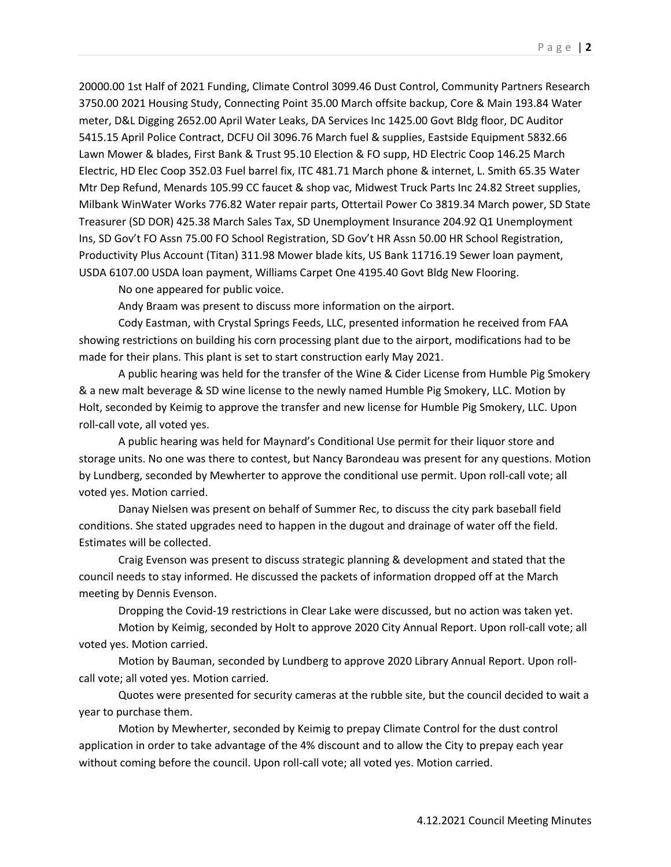20000.00 1st Half of 2021 Funding, Climate Control 3099.46 Dust Control, Community Partners Research 3750.00 2021 Housing Study, Connecting Point 35.00 March offsite backup, Core & Main 193.84 Water meter, D&L Digging 2652.00 April Water Leaks, DA Services Inc 1425.00 Govt Bldg floor, DC Auditor 5415.15 April Police Contract, DCFU Oil 3096.76 March fuel & supplies, Eastside Equipment 5832.66 Lawn Mower & blades, First Bank & Trust 95.10 Election & FO supp, HD Electric Coop 146.25 March Electric, HD Elec Coop 352.03 Fuel barrel fix, ITC 481.71 March phone & internet, L. Smith 65.35 Water Mtr Dep Refund, Menards 105.99 CC faucet & shop vac, Midwest Truck Parts Inc 24.82 Street supplies, Milbank WinWater Works 776.82 Water repair parts, Ottertail Power Co 3819.34 March power, SD State Treasurer (SD DOR) 425.38 March Sales Tax, SD Unemployment Insurance 204.92 Q1 Unemployment Ins, SD Gov't FO Assn 75.00 FO School Registration, SD Gov't HR Assn 50.00 HR School Registration, Productivity Plus Account (Titan) 311.98 Mower blade kits, US Bank 11716.19 Sewer loan payment, USDA 6107.00 USDA loan payment, Williams Carpet One 4195.40 Govt Bldg New Flooring.

No one appeared for public voice.

Andy Braam was present to discuss more information on the airport.

Cody Eastman, with Crystal Springs Feeds, LLC, presented information he received from FAA showing restrictions on building his corn processing plant due to the airport, modifications had to be made for their plans. This plant is set to start construction early May 2021.

A public hearing was held for the transfer of the Wine & Cider License from Humble Pig Smokery & a new malt beverage & SD wine license to the newly named Humble Pig Smokery, LLC. Motion by Holt, seconded by Keimig to approve the transfer and new license for Humble Pig Smokery, LLC. Upon roll-call vote, all voted yes.

A public hearing was held for Maynard's Conditional Use permit for their liquor store and storage units. No one was there to contest, but Nancy Barondeau was present for any questions. Motion by Lundberg, seconded by Mewherter to approve the conditional use permit. Upon roll-call vote; all voted yes. Motion carried.

Danay Nielsen was present on behalf of Summer Rec, to discuss the city park baseball field conditions. She stated upgrades need to happen in the dugout and drainage of water off the field. Estimates will be collected.

Craig Evenson was present to discuss strategic planning & development and stated that the council needs to stay informed. He discussed the packets of information dropped off at the March meeting by Dennis Evenson.

Dropping the Covid-19 restrictions in Clear Lake were discussed, but no action was taken yet.

Motion by Keimig, seconded by Holt to approve 2020 City Annual Report. Upon roll-call vote; all voted yes. Motion carried.

Motion by Bauman, seconded by Lundberg to approve 2020 Library Annual Report. Upon rollcall vote; all voted yes. Motion carried.

Quotes were presented for security cameras at the rubble site, but the council decided to wait a year to purchase them.

Motion by Mewherter, seconded by Keimig to prepay Climate Control for the dust control application in order to take advantage of the 4% discount and to allow the City to prepay each year without coming before the council. Upon roll-call vote; all voted yes. Motion carried.